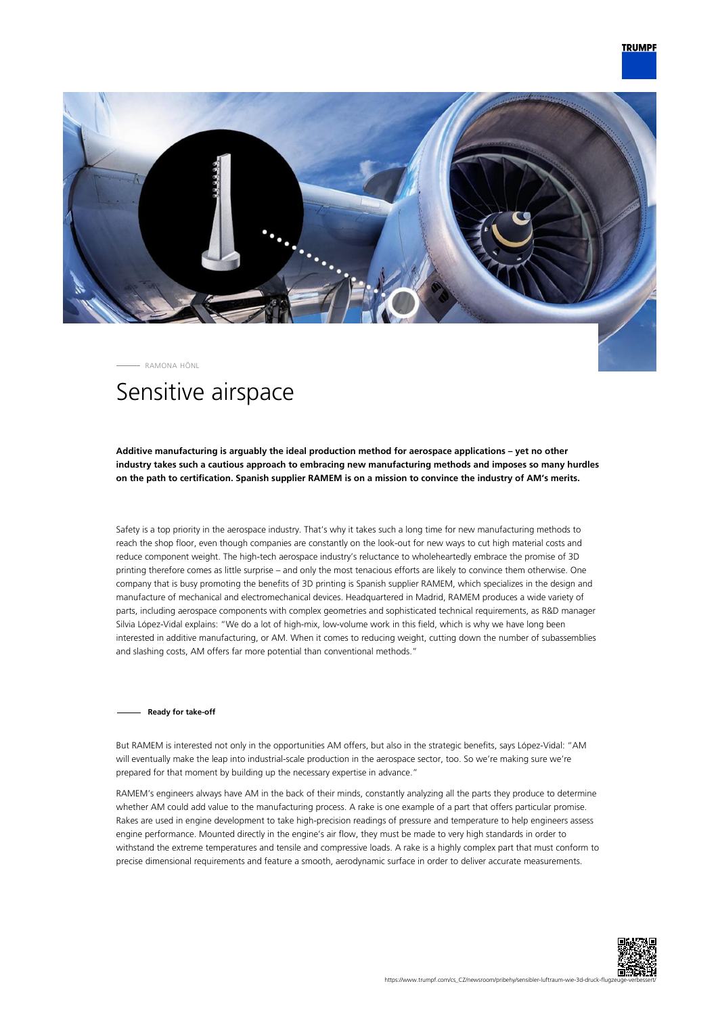

RAMONA HÖNL

# Sensitive airspace

**Additive manufacturing is arguably the ideal production method for aerospace applications – yet no other industry takes such a cautious approach to embracing new manufacturing methods and imposes so many hurdles on the path to certification. Spanish supplier RAMEM is on a mission to convince the industry of AM's merits.**

Safety is a top priority in the aerospace industry. That's why it takes such a long time for new manufacturing methods to reach the shop floor, even though companies are constantly on the look-out for new ways to cut high material costs and reduce component weight. The high-tech aerospace industry's reluctance to wholeheartedly embrace the promise of 3D printing therefore comes as little surprise – and only the most tenacious efforts are likely to convince them otherwise. One company that is busy promoting the benefits of 3D printing is Spanish supplier RAMEM, which specializes in the design and manufacture of mechanical and electromechanical devices. Headquartered in Madrid, RAMEM produces a wide variety of parts, including aerospace components with complex geometries and sophisticated technical requirements, as R&D manager Silvia López-Vidal explains: "We do a lot of high-mix, low-volume work in this field, which is why we have long been interested in additive manufacturing, or AM. When it comes to reducing weight, cutting down the number of subassemblies and slashing costs, AM offers far more potential than conventional methods."

**Ready for take-off**

But RAMEM is interested not only in the opportunities AM offers, but also in the strategic benefits, says López-Vidal: "AM will eventually make the leap into industrial-scale production in the aerospace sector, too. So we're making sure we're prepared for that moment by building up the necessary expertise in advance."

RAMEM's engineers always have AM in the back of their minds, constantly analyzing all the parts they produce to determine whether AM could add value to the manufacturing process. A rake is one example of a part that offers particular promise. Rakes are used in engine development to take high-precision readings of pressure and temperature to help engineers assess engine performance. Mounted directly in the engine's air flow, they must be made to very high standards in order to withstand the extreme temperatures and tensile and compressive loads. A rake is a highly complex part that must conform to precise dimensional requirements and feature a smooth, aerodynamic surface in order to deliver accurate measurements.

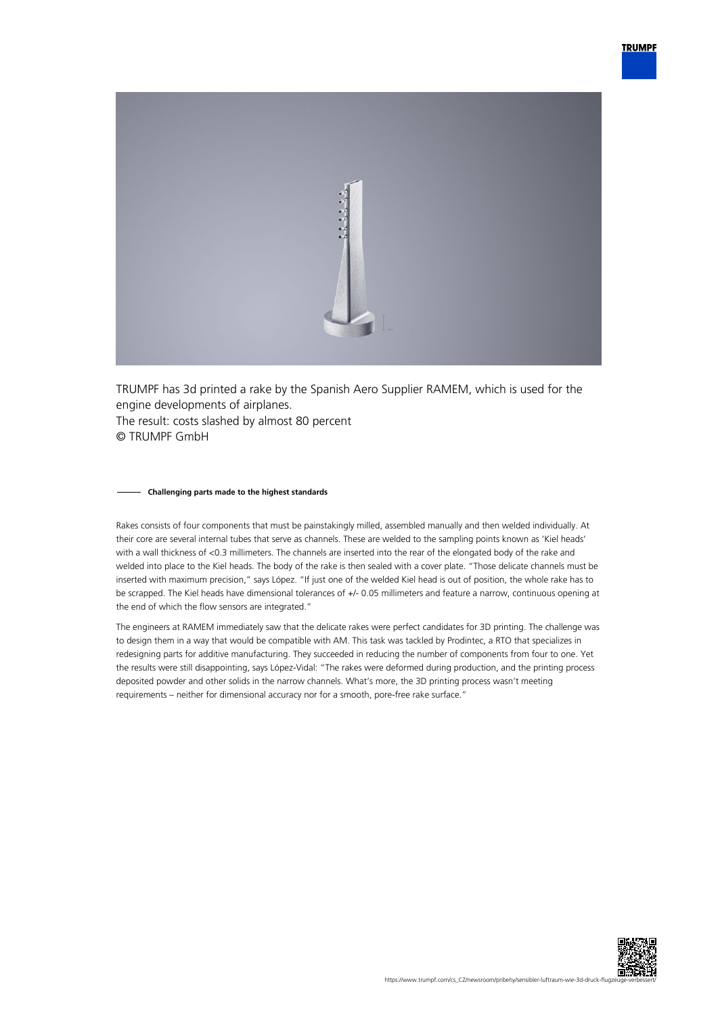

TRUMPF has 3d printed a rake by the Spanish Aero Supplier RAMEM, which is used for the engine developments of airplanes. The result: costs slashed by almost 80 percent © TRUMPF GmbH

#### **Challenging parts made to the highest standards**

Rakes consists of four components that must be painstakingly milled, assembled manually and then welded individually. At their core are several internal tubes that serve as channels. These are welded to the sampling points known as 'Kiel heads' with a wall thickness of <0.3 millimeters. The channels are inserted into the rear of the elongated body of the rake and welded into place to the Kiel heads. The body of the rake is then sealed with a cover plate. "Those delicate channels must be inserted with maximum precision," says López. "If just one of the welded Kiel head is out of position, the whole rake has to be scrapped. The Kiel heads have dimensional tolerances of +/- 0.05 millimeters and feature a narrow, continuous opening at the end of which the flow sensors are integrated."

The engineers at RAMEM immediately saw that the delicate rakes were perfect candidates for 3D printing. The challenge was to design them in a way that would be compatible with AM. This task was tackled by Prodintec, a RTO that specializes in redesigning parts for additive manufacturing. They succeeded in reducing the number of components from four to one. Yet the results were still disappointing, says López-Vidal: "The rakes were deformed during production, and the printing process deposited powder and other solids in the narrow channels. What's more, the 3D printing process wasn't meeting requirements – neither for dimensional accuracy nor for a smooth, pore-free rake surface."

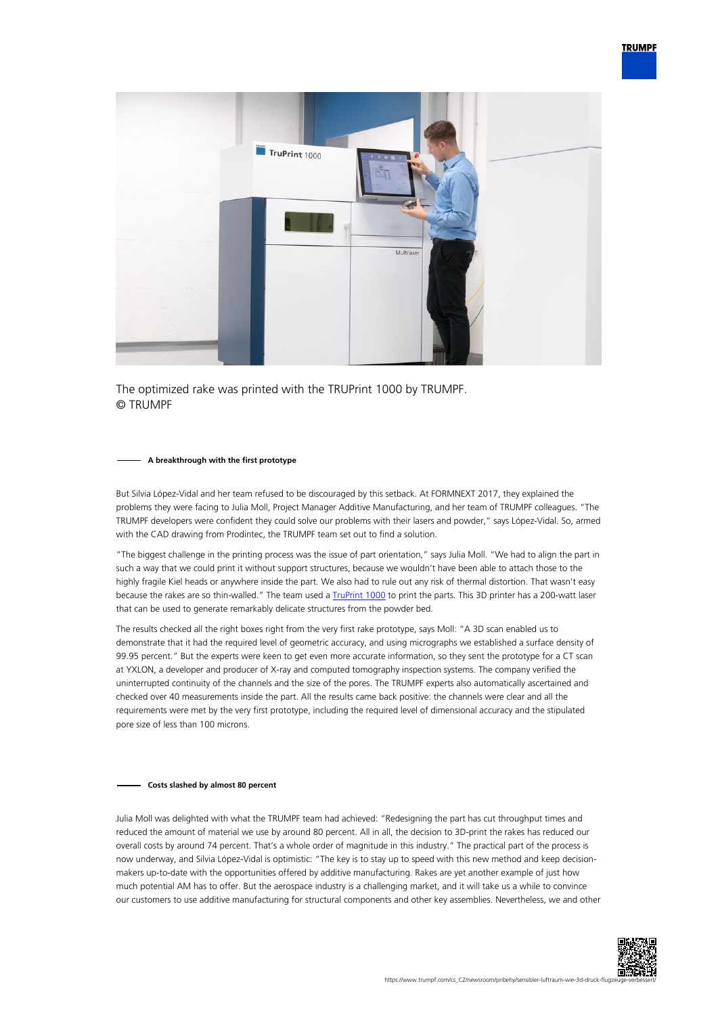

The optimized rake was printed with the TRUPrint 1000 by TRUMPF. © TRUMPF

## **A breakthrough with the first prototype**

But Silvia López-Vidal and her team refused to be discouraged by this setback. At FORMNEXT 2017, they explained the problems they were facing to Julia Moll, Project Manager Additive Manufacturing, and her team of TRUMPF colleagues. "The TRUMPF developers were confident they could solve our problems with their lasers and powder," says López-Vidal. So, armed with the CAD drawing from Prodintec, the TRUMPF team set out to find a solution.

"The biggest challenge in the printing process was the issue of part orientation," says Julia Moll. "We had to align the part in such a way that we could print it without support structures, because we wouldn't have been able to attach those to the highly fragile Kiel heads or anywhere inside the part. We also had to rule out any risk of thermal distortion. That wasn't easy because the rakes are so thin-walled." The team used a **TruPrint 1000** to print the parts. This 3D printer has a 200-watt laser that can be used to generate remarkably delicate structures from the powder bed.

The results checked all the right boxes right from the very first rake prototype, says Moll: "A 3D scan enabled us to demonstrate that it had the required level of geometric accuracy, and using micrographs we established a surface density of 99.95 percent." But the experts were keen to get even more accurate information, so they sent the prototype for a CT scan at YXLON, a developer and producer of X-ray and computed tomography inspection systems. The company verified the uninterrupted continuity of the channels and the size of the pores. The TRUMPF experts also automatically ascertained and checked over 40 measurements inside the part. All the results came back positive: the channels were clear and all the requirements were met by the very first prototype, including the required level of dimensional accuracy and the stipulated pore size of less than 100 microns.

#### **Costs slashed by almost 80 percent**

Julia Moll was delighted with what the TRUMPF team had achieved: "Redesigning the part has cut throughput times and reduced the amount of material we use by around 80 percent. All in all, the decision to 3D-print the rakes has reduced our overall costs by around 74 percent. That's a whole order of magnitude in this industry." The practical part of the process is now underway, and Silvia López-Vidal is optimistic: "The key is to stay up to speed with this new method and keep decisionmakers up-to-date with the opportunities offered by additive manufacturing. Rakes are yet another example of just how much potential AM has to offer. But the aerospace industry is a challenging market, and it will take us a while to convince our customers to use additive manufacturing for structural components and other key assemblies. Nevertheless, we and other